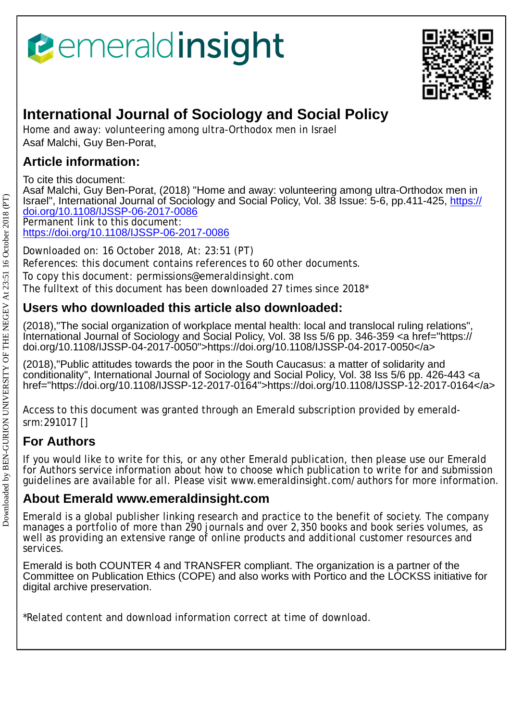



# **International Journal of Sociology and Social Policy**

Home and away: volunteering among ultra-Orthodox men in Israel Asaf Malchi, Guy Ben-Porat,

# **Article information:**

To cite this document:

Asaf Malchi, Guy Ben-Porat, (2018) "Home and away: volunteering among ultra-Orthodox men in Israel", International Journal of Sociology and Social Policy, Vol. 38 Issue: 5-6, pp.411-425, [https://](https://doi.org/10.1108/IJSSP-06-2017-0086) [doi.org/10.1108/IJSSP-06-2017-0086](https://doi.org/10.1108/IJSSP-06-2017-0086) Permanent link to this document:

<https://doi.org/10.1108/IJSSP-06-2017-0086>

Downloaded on: 16 October 2018, At: 23:51 (PT) References: this document contains references to 60 other documents.

To copy this document: permissions@emeraldinsight.com

The fulltext of this document has been downloaded 27 times since 2018\*

# **Users who downloaded this article also downloaded:**

(2018),"The social organization of workplace mental health: local and translocal ruling relations", International Journal of Sociology and Social Policy, Vol. 38 Iss 5/6 pp. 346-359 <a href="https:// doi.org/10.1108/IJSSP-04-2017-0050">https://doi.org/10.1108/IJSSP-04-2017-0050</a>

(2018),"Public attitudes towards the poor in the South Caucasus: a matter of solidarity and conditionality", International Journal of Sociology and Social Policy, Vol. 38 Iss 5/6 pp. 426-443 <a href="https://doi.org/10.1108/IJSSP-12-2017-0164">https://doi.org/10.1108/IJSSP-12-2017-0164</a>

Access to this document was granted through an Emerald subscription provided by emeraldsrm:291017 []

# **For Authors**

If you would like to write for this, or any other Emerald publication, then please use our Emerald for Authors service information about how to choose which publication to write for and submission guidelines are available for all. Please visit www.emeraldinsight.com/authors for more information.

# **About Emerald www.emeraldinsight.com**

Emerald is a global publisher linking research and practice to the benefit of society. The company manages a portfolio of more than 290 journals and over 2,350 books and book series volumes, as well as providing an extensive range of online products and additional customer resources and services.

Emerald is both COUNTER 4 and TRANSFER compliant. The organization is a partner of the Committee on Publication Ethics (COPE) and also works with Portico and the LOCKSS initiative for digital archive preservation.

\*Related content and download information correct at time of download.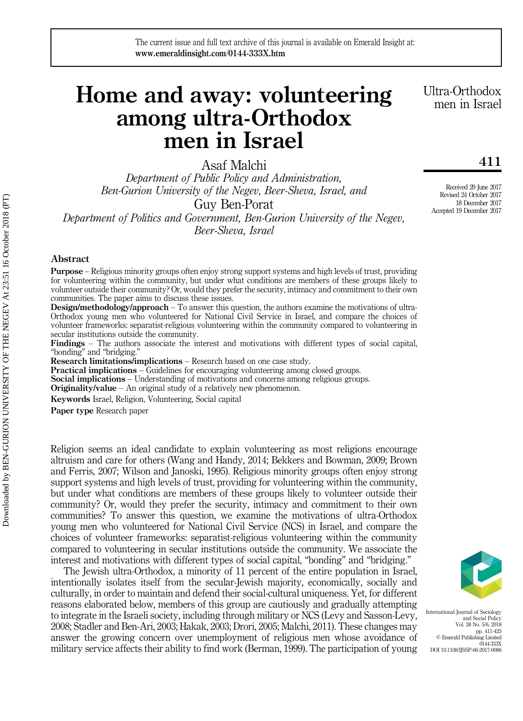The current issue and full text archive of this journal is available on Emerald Insight at: www.emeraldinsight.com/0144-333X.htm

# Home and away: volunteering among ultra-Orthodox men in Israel

Asaf Malchi

Department of Public Policy and Administration, Ben-Gurion University of the Negev, Beer-Sheva, Israel, and

Guy Ben-Porat Department of Politics and Government, Ben-Gurion University of the Negev,

Beer-Sheva, Israel

# Abstract

Purpose – Religious minority groups often enjoy strong support systems and high levels of trust, providing for volunteering within the community, but under what conditions are members of these groups likely to volunteer outside their community? Or, would they prefer the security, intimacy and commitment to their own communities. The paper aims to discuss these issues.

Design/methodology/approach - To answer this question, the authors examine the motivations of ultra-Orthodox young men who volunteered for National Civil Service in Israel, and compare the choices of volunteer frameworks: separatist-religious volunteering within the community compared to volunteering in secular institutions outside the community.

Findings – The authors associate the interest and motivations with different types of social capital, "bonding" and "bridging."

Research limitations/implications – Research based on one case study.

Practical implications – Guidelines for encouraging volunteering among closed groups.

Social implications – Understanding of motivations and concerns among religious groups. **Originality/value** – An original study of a relatively new phenomenon.

Keywords Israel, Religion, Volunteering, Social capital

Paper type Research paper

Religion seems an ideal candidate to explain volunteering as most religions encourage altruism and care for others (Wang and Handy, 2014; Bekkers and Bowman, 2009; Brown and Ferris, 2007; Wilson and Janoski, 1995). Religious minority groups often enjoy strong support systems and high levels of trust, providing for volunteering within the community, but under what conditions are members of these groups likely to volunteer outside their community? Or, would they prefer the security, intimacy and commitment to their own communities? To answer this question, we examine the motivations of ultra-Orthodox young men who volunteered for National Civil Service (NCS) in Israel, and compare the choices of volunteer frameworks: separatist-religious volunteering within the community compared to volunteering in secular institutions outside the community. We associate the interest and motivations with different types of social capital, "bonding" and "bridging."

The Jewish ultra-Orthodox, a minority of 11 percent of the entire population in Israel, intentionally isolates itself from the secular-Jewish majority, economically, socially and culturally, in order to maintain and defend their social-cultural uniqueness. Yet, for different reasons elaborated below, members of this group are cautiously and gradually attempting to integrate in the Israeli society, including through military or NCS (Levy and Sasson-Levy, 2008; Stadler and Ben-Ari, 2003; Hakak, 2003; Drori, 2005; Malchi, 2011). These changes may answer the growing concern over unemployment of religious men whose avoidance of military service affects their ability to find work (Berman, 1999). The participation of young

International Journal of Sociology and Social Policy Vol. 38 No. 5/6, 2018 pp. 411-425 © Emerald Publishing Limited 0144-333X DOI 10.1108/IJSSP-06-2017-0086

men in Israel

Ultra-Orthodox

# 411

Received 29 June 2017 Revised 24 October 2017 18 December 2017 Accepted 19 December 2017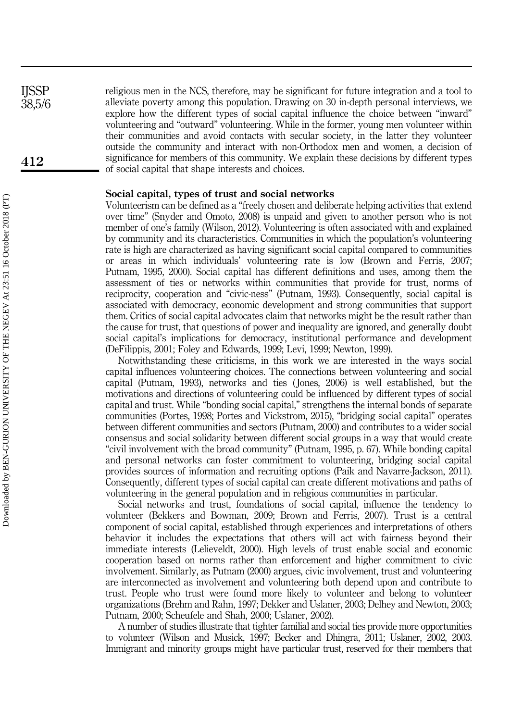religious men in the NCS, therefore, may be significant for future integration and a tool to alleviate poverty among this population. Drawing on 30 in-depth personal interviews, we explore how the different types of social capital influence the choice between "inward" volunteering and "outward" volunteering. While in the former, young men volunteer within their communities and avoid contacts with secular society, in the latter they volunteer outside the community and interact with non-Orthodox men and women, a decision of significance for members of this community. We explain these decisions by different types of social capital that shape interests and choices. 412 **IISSP** 38,5/6

## Social capital, types of trust and social networks

Volunteerism can be defined as a "freely chosen and deliberate helping activities that extend over time" (Snyder and Omoto, 2008) is unpaid and given to another person who is not member of one's family (Wilson, 2012). Volunteering is often associated with and explained by community and its characteristics. Communities in which the population's volunteering rate is high are characterized as having significant social capital compared to communities or areas in which individuals' volunteering rate is low (Brown and Ferris, 2007; Putnam, 1995, 2000). Social capital has different definitions and uses, among them the assessment of ties or networks within communities that provide for trust, norms of reciprocity, cooperation and "civic-ness" (Putnam, 1993). Consequently, social capital is associated with democracy, economic development and strong communities that support them. Critics of social capital advocates claim that networks might be the result rather than the cause for trust, that questions of power and inequality are ignored, and generally doubt social capital's implications for democracy, institutional performance and development (DeFilippis, 2001; Foley and Edwards, 1999; Levi, 1999; Newton, 1999).

Notwithstanding these criticisms, in this work we are interested in the ways social capital influences volunteering choices. The connections between volunteering and social capital (Putnam, 1993), networks and ties ( Jones, 2006) is well established, but the motivations and directions of volunteering could be influenced by different types of social capital and trust. While "bonding social capital," strengthens the internal bonds of separate communities (Portes, 1998; Portes and Vickstrom, 2015), "bridging social capital" operates between different communities and sectors (Putnam, 2000) and contributes to a wider social consensus and social solidarity between different social groups in a way that would create "civil involvement with the broad community" (Putnam, 1995, p. 67). While bonding capital and personal networks can foster commitment to volunteering, bridging social capital provides sources of information and recruiting options (Paik and Navarre-Jackson, 2011). Consequently, different types of social capital can create different motivations and paths of volunteering in the general population and in religious communities in particular.

Social networks and trust, foundations of social capital, influence the tendency to volunteer (Bekkers and Bowman, 2009; Brown and Ferris, 2007). Trust is a central component of social capital, established through experiences and interpretations of others behavior it includes the expectations that others will act with fairness beyond their immediate interests (Lelieveldt, 2000). High levels of trust enable social and economic cooperation based on norms rather than enforcement and higher commitment to civic involvement. Similarly, as Putnam (2000) argues, civic involvement, trust and volunteering are interconnected as involvement and volunteering both depend upon and contribute to trust. People who trust were found more likely to volunteer and belong to volunteer organizations (Brehm and Rahn, 1997; Dekker and Uslaner, 2003; Delhey and Newton, 2003; Putnam, 2000; Scheufele and Shah, 2000; Uslaner, 2002).

A number of studies illustrate that tighter familial and social ties provide more opportunities to volunteer (Wilson and Musick, 1997; Becker and Dhingra, 2011; Uslaner, 2002, 2003. Immigrant and minority groups might have particular trust, reserved for their members that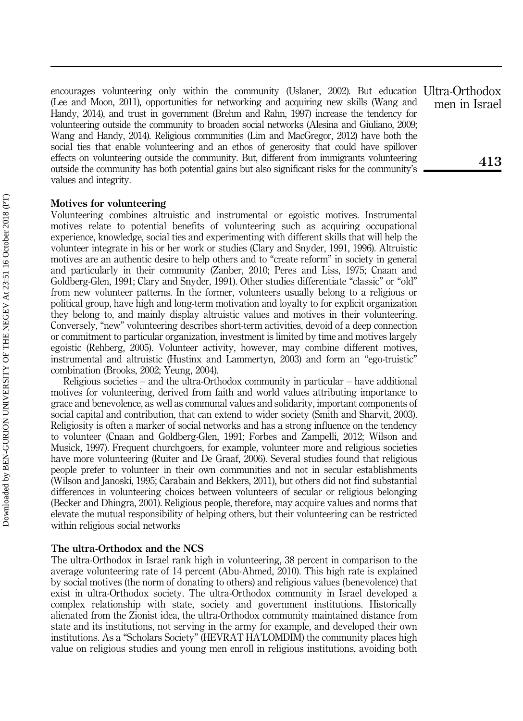encourages volunteering only within the community (Uslaner, 2002). But education Ultra-Orthodox (Lee and Moon, 2011), opportunities for networking and acquiring new skills (Wang and Handy, 2014), and trust in government (Brehm and Rahn, 1997) increase the tendency for volunteering outside the community to broaden social networks (Alesina and Giuliano, 2009; Wang and Handy, 2014). Religious communities (Lim and MacGregor, 2012) have both the social ties that enable volunteering and an ethos of generosity that could have spillover effects on volunteering outside the community. But, different from immigrants volunteering outside the community has both potential gains but also significant risks for the community's values and integrity.

413

men in Israel

## Motives for volunteering

Volunteering combines altruistic and instrumental or egoistic motives. Instrumental motives relate to potential benefits of volunteering such as acquiring occupational experience, knowledge, social ties and experimenting with different skills that will help the volunteer integrate in his or her work or studies (Clary and Snyder, 1991, 1996). Altruistic motives are an authentic desire to help others and to "create reform" in society in general and particularly in their community (Zanber, 2010; Peres and Liss, 1975; Cnaan and Goldberg-Glen, 1991; Clary and Snyder, 1991). Other studies differentiate "classic" or "old" from new volunteer patterns. In the former, volunteers usually belong to a religious or political group, have high and long-term motivation and loyalty to for explicit organization they belong to, and mainly display altruistic values and motives in their volunteering. Conversely, "new" volunteering describes short-term activities, devoid of a deep connection or commitment to particular organization, investment is limited by time and motives largely egoistic (Rehberg, 2005). Volunteer activity, however, may combine different motives, instrumental and altruistic (Hustinx and Lammertyn, 2003) and form an "ego-truistic" combination (Brooks, 2002; Yeung, 2004).

Religious societies – and the ultra-Orthodox community in particular – have additional motives for volunteering, derived from faith and world values attributing importance to grace and benevolence, as well as communal values and solidarity, important components of social capital and contribution, that can extend to wider society (Smith and Sharvit, 2003). Religiosity is often a marker of social networks and has a strong influence on the tendency to volunteer (Cnaan and Goldberg-Glen, 1991; Forbes and Zampelli, 2012; Wilson and Musick, 1997). Frequent churchgoers, for example, volunteer more and religious societies have more volunteering (Ruiter and De Graaf, 2006). Several studies found that religious people prefer to volunteer in their own communities and not in secular establishments (Wilson and Janoski, 1995; Carabain and Bekkers, 2011), but others did not find substantial differences in volunteering choices between volunteers of secular or religious belonging (Becker and Dhingra, 2001). Religious people, therefore, may acquire values and norms that elevate the mutual responsibility of helping others, but their volunteering can be restricted within religious social networks

## The ultra-Orthodox and the NCS

The ultra-Orthodox in Israel rank high in volunteering, 38 percent in comparison to the average volunteering rate of 14 percent (Abu-Ahmed, 2010). This high rate is explained by social motives (the norm of donating to others) and religious values (benevolence) that exist in ultra-Orthodox society. The ultra-Orthodox community in Israel developed a complex relationship with state, society and government institutions. Historically alienated from the Zionist idea, the ultra-Orthodox community maintained distance from state and its institutions, not serving in the army for example, and developed their own institutions. As a "Scholars Society" (HEVRAT HA'LOMDIM) the community places high value on religious studies and young men enroll in religious institutions, avoiding both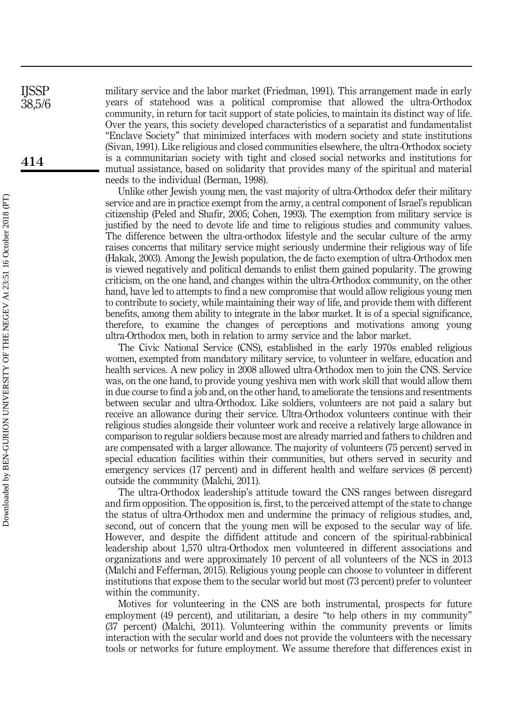military service and the labor market (Friedman, 1991). This arrangement made in early years of statehood was a political compromise that allowed the ultra-Orthodox community, in return for tacit support of state policies, to maintain its distinct way of life. Over the years, this society developed characteristics of a separatist and fundamentalist "Enclave Society" that minimized interfaces with modern society and state institutions (Sivan, 1991). Like religious and closed communities elsewhere, the ultra-Orthodox society is a communitarian society with tight and closed social networks and institutions for mutual assistance, based on solidarity that provides many of the spiritual and material needs to the individual (Berman, 1998).

Unlike other Jewish young men, the vast majority of ultra-Orthodox defer their military service and are in practice exempt from the army, a central component of Israel's republican citizenship (Peled and Shafir, 2005; Cohen, 1993). The exemption from military service is justified by the need to devote life and time to religious studies and community values. The difference between the ultra-orthodox lifestyle and the secular culture of the army raises concerns that military service might seriously undermine their religious way of life (Hakak, 2003). Among the Jewish population, the de facto exemption of ultra-Orthodox men is viewed negatively and political demands to enlist them gained popularity. The growing criticism, on the one hand, and changes within the ultra-Orthodox community, on the other hand, have led to attempts to find a new compromise that would allow religious young men to contribute to society, while maintaining their way of life, and provide them with different benefits, among them ability to integrate in the labor market. It is of a special significance, therefore, to examine the changes of perceptions and motivations among young ultra-Orthodox men, both in relation to army service and the labor market.

The Civic National Service (CNS), established in the early 1970s enabled religious women, exempted from mandatory military service, to volunteer in welfare, education and health services. A new policy in 2008 allowed ultra-Orthodox men to join the CNS. Service was, on the one hand, to provide young yeshiva men with work skill that would allow them in due course to find a job and, on the other hand, to ameliorate the tensions and resentments between secular and ultra-Orthodox. Like soldiers, volunteers are not paid a salary but receive an allowance during their service. Ultra-Orthodox volunteers continue with their religious studies alongside their volunteer work and receive a relatively large allowance in comparison to regular soldiers because most are already married and fathers to children and are compensated with a larger allowance. The majority of volunteers (75 percent) served in special education facilities within their communities, but others served in security and emergency services (17 percent) and in different health and welfare services (8 percent) outside the community (Malchi, 2011).

The ultra-Orthodox leadership's attitude toward the CNS ranges between disregard and firm opposition. The opposition is, first, to the perceived attempt of the state to change the status of ultra-Orthodox men and undermine the primacy of religious studies, and, second, out of concern that the young men will be exposed to the secular way of life. However, and despite the diffident attitude and concern of the spiritual-rabbinical leadership about 1,570 ultra-Orthodox men volunteered in different associations and organizations and were approximately 10 percent of all volunteers of the NCS in 2013 (Malchi and Fefferman, 2015). Religious young people can choose to volunteer in different institutions that expose them to the secular world but most (73 percent) prefer to volunteer within the community.

Motives for volunteering in the CNS are both instrumental, prospects for future employment (49 percent), and utilitarian, a desire "to help others in my community" (37 percent) (Malchi, 2011). Volunteering within the community prevents or limits interaction with the secular world and does not provide the volunteers with the necessary tools or networks for future employment. We assume therefore that differences exist in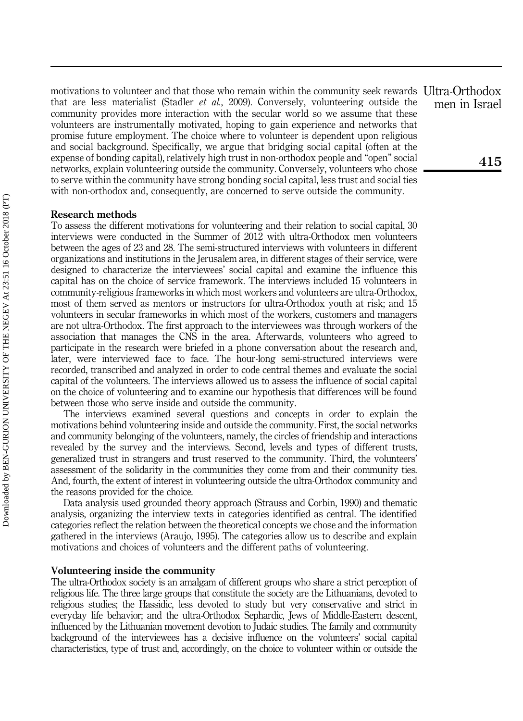motivations to volunteer and that those who remain within the community seek rewards Ultra-Orthodox that are less materialist (Stadler et al., 2009). Conversely, volunteering outside the community provides more interaction with the secular world so we assume that these volunteers are instrumentally motivated, hoping to gain experience and networks that promise future employment. The choice where to volunteer is dependent upon religious and social background. Specifically, we argue that bridging social capital (often at the expense of bonding capital), relatively high trust in non-orthodox people and "open" social networks, explain volunteering outside the community. Conversely, volunteers who chose to serve within the community have strong bonding social capital, less trust and social ties with non-orthodox and, consequently, are concerned to serve outside the community.

# Research methods

To assess the different motivations for volunteering and their relation to social capital, 30 interviews were conducted in the Summer of 2012 with ultra-Orthodox men volunteers between the ages of 23 and 28. The semi-structured interviews with volunteers in different organizations and institutions in the Jerusalem area, in different stages of their service, were designed to characterize the interviewees' social capital and examine the influence this capital has on the choice of service framework. The interviews included 15 volunteers in community-religious frameworks in which most workers and volunteers are ultra-Orthodox, most of them served as mentors or instructors for ultra-Orthodox youth at risk; and 15 volunteers in secular frameworks in which most of the workers, customers and managers are not ultra-Orthodox. The first approach to the interviewees was through workers of the association that manages the CNS in the area. Afterwards, volunteers who agreed to participate in the research were briefed in a phone conversation about the research and, later, were interviewed face to face. The hour-long semi-structured interviews were recorded, transcribed and analyzed in order to code central themes and evaluate the social capital of the volunteers. The interviews allowed us to assess the influence of social capital on the choice of volunteering and to examine our hypothesis that differences will be found between those who serve inside and outside the community.

The interviews examined several questions and concepts in order to explain the motivations behind volunteering inside and outside the community. First, the social networks and community belonging of the volunteers, namely, the circles of friendship and interactions revealed by the survey and the interviews. Second, levels and types of different trusts, generalized trust in strangers and trust reserved to the community. Third, the volunteers' assessment of the solidarity in the communities they come from and their community ties. And, fourth, the extent of interest in volunteering outside the ultra-Orthodox community and the reasons provided for the choice.

Data analysis used grounded theory approach (Strauss and Corbin, 1990) and thematic analysis, organizing the interview texts in categories identified as central. The identified categories reflect the relation between the theoretical concepts we chose and the information gathered in the interviews (Araujo, 1995). The categories allow us to describe and explain motivations and choices of volunteers and the different paths of volunteering.

#### Volunteering inside the community

The ultra-Orthodox society is an amalgam of different groups who share a strict perception of religious life. The three large groups that constitute the society are the Lithuanians, devoted to religious studies; the Hassidic, less devoted to study but very conservative and strict in everyday life behavior; and the ultra-Orthodox Sephardic, Jews of Middle-Eastern descent, influenced by the Lithuanian movement devotion to Judaic studies. The family and community background of the interviewees has a decisive influence on the volunteers' social capital characteristics, type of trust and, accordingly, on the choice to volunteer within or outside the men in Israel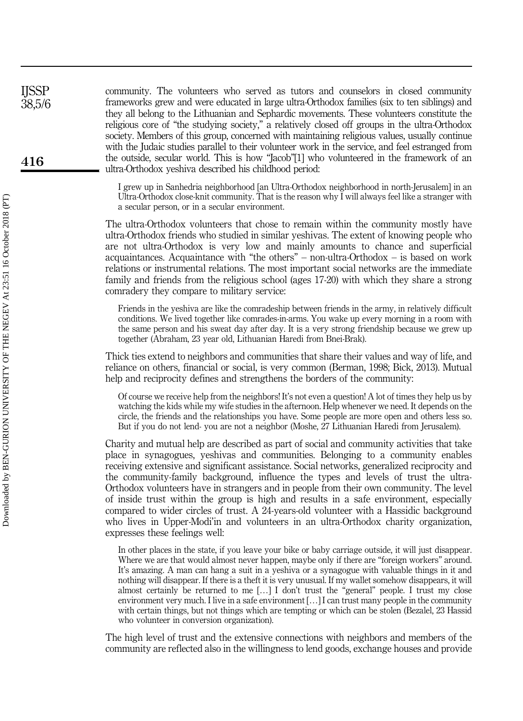community. The volunteers who served as tutors and counselors in closed community frameworks grew and were educated in large ultra-Orthodox families (six to ten siblings) and they all belong to the Lithuanian and Sephardic movements. These volunteers constitute the religious core of "the studying society," a relatively closed off groups in the ultra-Orthodox society. Members of this group, concerned with maintaining religious values, usually continue with the Judaic studies parallel to their volunteer work in the service, and feel estranged from the outside, secular world. This is how "Jacob"[1] who volunteered in the framework of an ultra-Orthodox yeshiva described his childhood period:

> I grew up in Sanhedria neighborhood [an Ultra-Orthodox neighborhood in north-Jerusalem] in an Ultra-Orthodox close-knit community. That is the reason why I will always feel like a stranger with a secular person, or in a secular environment.

The ultra-Orthodox volunteers that chose to remain within the community mostly have ultra-Orthodox friends who studied in similar yeshivas. The extent of knowing people who are not ultra-Orthodox is very low and mainly amounts to chance and superficial acquaintances. Acquaintance with "the others" – non-ultra-Orthodox – is based on work relations or instrumental relations. The most important social networks are the immediate family and friends from the religious school (ages 17-20) with which they share a strong comradery they compare to military service:

Friends in the yeshiva are like the comradeship between friends in the army, in relatively difficult conditions. We lived together like comrades-in-arms. You wake up every morning in a room with the same person and his sweat day after day. It is a very strong friendship because we grew up together (Abraham, 23 year old, Lithuanian Haredi from Bnei-Brak).

Thick ties extend to neighbors and communities that share their values and way of life, and reliance on others, financial or social, is very common (Berman, 1998; Bick, 2013). Mutual help and reciprocity defines and strengthens the borders of the community:

Of course we receive help from the neighbors! It's not even a question! A lot of times they help us by watching the kids while my wife studies in the afternoon. Help whenever we need. It depends on the circle, the friends and the relationships you have. Some people are more open and others less so. But if you do not lend- you are not a neighbor (Moshe, 27 Lithuanian Haredi from Jerusalem).

Charity and mutual help are described as part of social and community activities that take place in synagogues, yeshivas and communities. Belonging to a community enables receiving extensive and significant assistance. Social networks, generalized reciprocity and the community-family background, influence the types and levels of trust the ultra-Orthodox volunteers have in strangers and in people from their own community. The level of inside trust within the group is high and results in a safe environment, especially compared to wider circles of trust. A 24-years-old volunteer with a Hassidic background who lives in Upper-Modi'in and volunteers in an ultra-Orthodox charity organization, expresses these feelings well:

In other places in the state, if you leave your bike or baby carriage outside, it will just disappear. Where we are that would almost never happen, maybe only if there are "foreign workers" around. It's amazing. A man can hang a suit in a yeshiva or a synagogue with valuable things in it and nothing will disappear. If there is a theft it is very unusual. If my wallet somehow disappears, it will almost certainly be returned to me […] I don't trust the "general" people. I trust my close environment very much. I live in a safe environment […] I can trust many people in the community with certain things, but not things which are tempting or which can be stolen (Bezalel, 23 Hassid who volunteer in conversion organization).

The high level of trust and the extensive connections with neighbors and members of the community are reflected also in the willingness to lend goods, exchange houses and provide

416

**IISSP** 38,5/6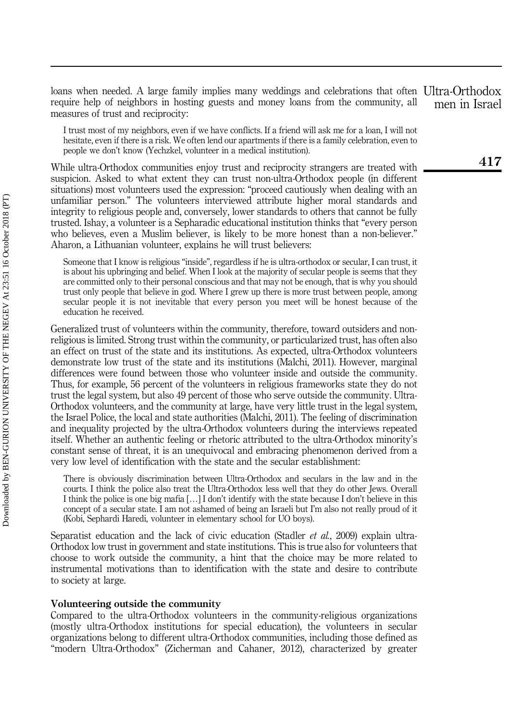loans when needed. A large family implies many weddings and celebrations that often Ultra-Orthodox require help of neighbors in hosting guests and money loans from the community, all measures of trust and reciprocity:

I trust most of my neighbors, even if we have conflicts. If a friend will ask me for a loan, I will not hesitate, even if there is a risk. We often lend our apartments if there is a family celebration, even to people we don't know (Yechzkel, volunteer in a medical institution).

While ultra-Orthodox communities enjoy trust and reciprocity strangers are treated with suspicion. Asked to what extent they can trust non-ultra-Orthodox people (in different situations) most volunteers used the expression: "proceed cautiously when dealing with an unfamiliar person." The volunteers interviewed attribute higher moral standards and integrity to religious people and, conversely, lower standards to others that cannot be fully trusted. Ishay, a volunteer is a Sepharadic educational institution thinks that "every person who believes, even a Muslim believer, is likely to be more honest than a non-believer." Aharon, a Lithuanian volunteer, explains he will trust believers:

Someone that I know is religious "inside", regardless if he is ultra-orthodox or secular, I can trust, it is about his upbringing and belief. When I look at the majority of secular people is seems that they are committed only to their personal conscious and that may not be enough, that is why you should trust only people that believe in god. Where I grew up there is more trust between people, among secular people it is not inevitable that every person you meet will be honest because of the education he received.

Generalized trust of volunteers within the community, therefore, toward outsiders and nonreligious is limited. Strong trust within the community, or particularized trust, has often also an effect on trust of the state and its institutions. As expected, ultra-Orthodox volunteers demonstrate low trust of the state and its institutions (Malchi, 2011). However, marginal differences were found between those who volunteer inside and outside the community. Thus, for example, 56 percent of the volunteers in religious frameworks state they do not trust the legal system, but also 49 percent of those who serve outside the community. Ultra-Orthodox volunteers, and the community at large, have very little trust in the legal system, the Israel Police, the local and state authorities (Malchi, 2011). The feeling of discrimination and inequality projected by the ultra-Orthodox volunteers during the interviews repeated itself. Whether an authentic feeling or rhetoric attributed to the ultra-Orthodox minority's constant sense of threat, it is an unequivocal and embracing phenomenon derived from a very low level of identification with the state and the secular establishment:

There is obviously discrimination between Ultra-Orthodox and seculars in the law and in the courts. I think the police also treat the Ultra-Orthodox less well that they do other Jews. Overall I think the police is one big mafia […] I don't identify with the state because I don't believe in this concept of a secular state. I am not ashamed of being an Israeli but I'm also not really proud of it (Kobi, Sephardi Haredi, volunteer in elementary school for UO boys).

Separatist education and the lack of civic education (Stadler et al., 2009) explain ultra-Orthodox low trust in government and state institutions. This is true also for volunteers that choose to work outside the community, a hint that the choice may be more related to instrumental motivations than to identification with the state and desire to contribute to society at large.

#### Volunteering outside the community

Compared to the ultra-Orthodox volunteers in the community-religious organizations (mostly ultra-Orthodox institutions for special education), the volunteers in secular organizations belong to different ultra-Orthodox communities, including those defined as "modern Ultra-Orthodox" (Zicherman and Cahaner, 2012), characterized by greater men in Israel

417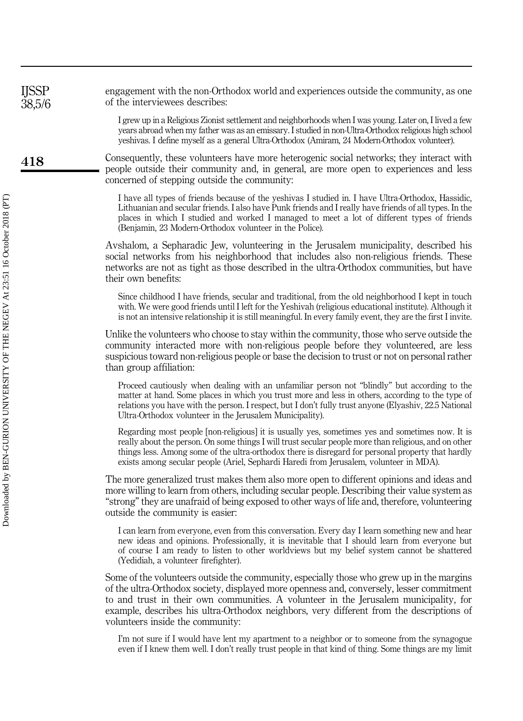| 38,5/6 | of the interviewees describes:                                                                                                                                                                                                                                                                                                                                                                           |
|--------|----------------------------------------------------------------------------------------------------------------------------------------------------------------------------------------------------------------------------------------------------------------------------------------------------------------------------------------------------------------------------------------------------------|
|        | I grew up in a Religious Zionist settlement and neighborhoods when I was young. Later on, I lived a few<br>years abroad when my father was as an emissary. I studied in non-Ultra-Orthodox religious high school<br>yeshivas. I define myself as a general Ultra-Orthodox (Amiram, 24 Modern-Orthodox volunteer).                                                                                        |
| 418    | Consequently, these volunteers have more heterogenic social networks; they interact with<br>people outside their community and, in general, are more open to experiences and less<br>concerned of stepping outside the community:                                                                                                                                                                        |
|        | I have all types of friends because of the yeshivas I studied in. I have Ultra-Orthodox, Hassidic,<br>Lithuanian and secular friends. I also have Punk friends and I really have friends of all types. In the<br>places in which I studied and worked I managed to meet a lot of different types of friends<br>(Benjamin, 23 Modern-Orthodox volunteer in the Police).                                   |
|        | Avshalom, a Sepharadic Jew, volunteering in the Jerusalem municipality, described his<br>social networks from his neighborhood that includes also non-religious friends. These<br>networks are not as tight as those described in the ultra-Orthodox communities, but have<br>their own benefits:                                                                                                        |
|        | Since childhood I have friends, secular and traditional, from the old neighborhood I kept in touch<br>with. We were good friends until I left for the Yeshivah (religious educational institute). Although it<br>is not an intensive relationship it is still meaningful. In every family event, they are the first I invite.                                                                            |
|        | Unlike the volunteers who choose to stay within the community, those who serve outside the<br>community interacted more with non-religious people before they volunteered, are less<br>suspicious toward non-religious people or base the decision to trust or not on personal rather<br>than group affiliation:                                                                                         |
|        | Proceed cautiously when dealing with an unfamiliar person not "blindly" but according to the<br>matter at hand. Some places in which you trust more and less in others, according to the type of<br>relations you have with the person. I respect, but I don't fully trust anyone (Elyashiv, 22.5 National<br>Ultra-Orthodox volunteer in the Jerusalem Municipality).                                   |
|        | Regarding most people [non-religious] it is usually yes, sometimes yes and sometimes now. It is<br>really about the person. On some things I will trust secular people more than religious, and on other<br>things less. Among some of the ultra-orthodox there is disregard for personal property that hardly<br>exists among secular people (Ariel, Sephardi Haredi from Jerusalem, volunteer in MDA). |
|        | The more generalized trust makes them also more open to different opinions and ideas and<br>more willing to learn from others, including secular people. Describing their value system as<br>"strong" they are unafraid of being exposed to other ways of life and, therefore, volunteering<br>outside the community is easier:                                                                          |
|        | I can learn from everyone, even from this conversation. Every day I learn something new and hear<br>new ideas and opinions. Professionally, it is inevitable that I should learn from everyone but<br>of course I am ready to listen to other worldviews but my belief system cannot be shattered<br>(Yedidiah, a volunteer firefighter).                                                                |

engagement with the non-Orthodox world and experiences outside the community, as one

Some of the volunteers outside the community, especially those who grew up in the margins of the ultra-Orthodox society, displayed more openness and, conversely, lesser commitment to and trust in their own communities. A volunteer in the Jerusalem municipality, for example, describes his ultra-Orthodox neighbors, very different from the descriptions of volunteers inside the community:

I'm not sure if I would have lent my apartment to a neighbor or to someone from the synagogue even if I knew them well. I don't really trust people in that kind of thing. Some things are my limit

**IISSP**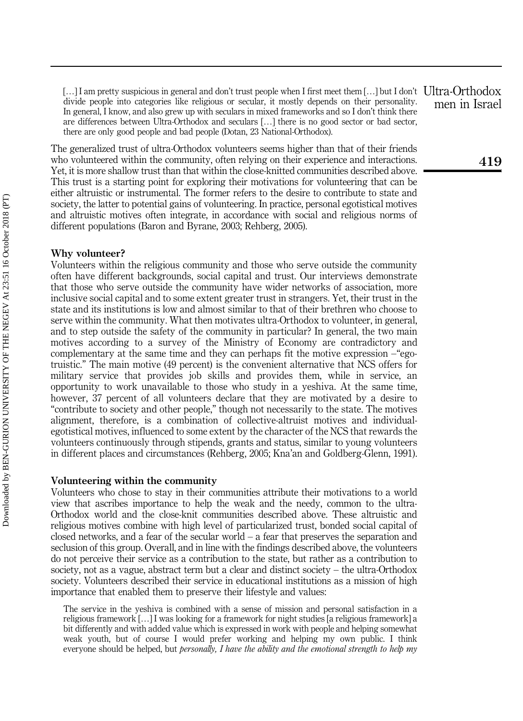[…] I am pretty suspicious in general and don't trust people when I first meet them […] but I don't Ultra-Orthodox divide people into categories like religious or secular, it mostly depends on their personality. In general, I know, and also grew up with seculars in mixed frameworks and so I don't think there are differences between Ultra-Orthodox and seculars […] there is no good sector or bad sector, there are only good people and bad people (Dotan, 23 National-Orthodox).

The generalized trust of ultra-Orthodox volunteers seems higher than that of their friends who volunteered within the community, often relying on their experience and interactions. Yet, it is more shallow trust than that within the close-knitted communities described above. This trust is a starting point for exploring their motivations for volunteering that can be either altruistic or instrumental. The former refers to the desire to contribute to state and society, the latter to potential gains of volunteering. In practice, personal egotistical motives and altruistic motives often integrate, in accordance with social and religious norms of different populations (Baron and Byrane, 2003; Rehberg, 2005).

# Why volunteer?

Volunteers within the religious community and those who serve outside the community often have different backgrounds, social capital and trust. Our interviews demonstrate that those who serve outside the community have wider networks of association, more inclusive social capital and to some extent greater trust in strangers. Yet, their trust in the state and its institutions is low and almost similar to that of their brethren who choose to serve within the community. What then motivates ultra-Orthodox to volunteer, in general, and to step outside the safety of the community in particular? In general, the two main motives according to a survey of the Ministry of Economy are contradictory and complementary at the same time and they can perhaps fit the motive expression –"egotruistic." The main motive (49 percent) is the convenient alternative that NCS offers for military service that provides job skills and provides them, while in service, an opportunity to work unavailable to those who study in a yeshiva. At the same time, however, 37 percent of all volunteers declare that they are motivated by a desire to "contribute to society and other people," though not necessarily to the state. The motives alignment, therefore, is a combination of collective-altruist motives and individualegotistical motives, influenced to some extent by the character of the NCS that rewards the volunteers continuously through stipends, grants and status, similar to young volunteers in different places and circumstances (Rehberg, 2005; Kna'an and Goldberg-Glenn, 1991).

### Volunteering within the community

Volunteers who chose to stay in their communities attribute their motivations to a world view that ascribes importance to help the weak and the needy, common to the ultra-Orthodox world and the close-knit communities described above. These altruistic and religious motives combine with high level of particularized trust, bonded social capital of closed networks, and a fear of the secular world – a fear that preserves the separation and seclusion of this group. Overall, and in line with the findings described above, the volunteers do not perceive their service as a contribution to the state, but rather as a contribution to society, not as a vague, abstract term but a clear and distinct society – the ultra-Orthodox society. Volunteers described their service in educational institutions as a mission of high importance that enabled them to preserve their lifestyle and values:

The service in the yeshiva is combined with a sense of mission and personal satisfaction in a religious framework […] I was looking for a framework for night studies [a religious framework] a bit differently and with added value which is expressed in work with people and helping somewhat weak youth, but of course I would prefer working and helping my own public. I think everyone should be helped, but *personally, I have the ability and the emotional strength to help my*  men in Israel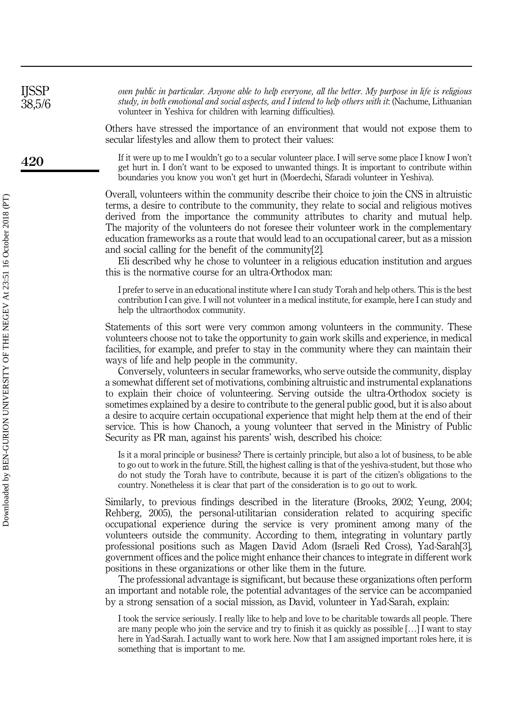own public in particular. Anyone able to help everyone, all the better. My purpose in life is religious study, in both emotional and social aspects, and I intend to help others with it: (Nachume, Lithuanian volunteer in Yeshiva for children with learning difficulties).

Others have stressed the importance of an environment that would not expose them to secular lifestyles and allow them to protect their values:

If it were up to me I wouldn't go to a secular volunteer place. I will serve some place I know I won't get hurt in. I don't want to be exposed to unwanted things. It is important to contribute within boundaries you know you won't get hurt in (Moerdechi, Sfaradi volunteer in Yeshiva).

Overall, volunteers within the community describe their choice to join the CNS in altruistic terms, a desire to contribute to the community, they relate to social and religious motives derived from the importance the community attributes to charity and mutual help. The majority of the volunteers do not foresee their volunteer work in the complementary education frameworks as a route that would lead to an occupational career, but as a mission and social calling for the benefit of the community[2].

Eli described why he chose to volunteer in a religious education institution and argues this is the normative course for an ultra-Orthodox man:

I prefer to serve in an educational institute where I can study Torah and help others. This is the best contribution I can give. I will not volunteer in a medical institute, for example, here I can study and help the ultraorthodox community.

Statements of this sort were very common among volunteers in the community. These volunteers choose not to take the opportunity to gain work skills and experience, in medical facilities, for example, and prefer to stay in the community where they can maintain their ways of life and help people in the community.

Conversely, volunteers in secular frameworks, who serve outside the community, display a somewhat different set of motivations, combining altruistic and instrumental explanations to explain their choice of volunteering. Serving outside the ultra-Orthodox society is sometimes explained by a desire to contribute to the general public good, but it is also about a desire to acquire certain occupational experience that might help them at the end of their service. This is how Chanoch, a young volunteer that served in the Ministry of Public Security as PR man, against his parents' wish, described his choice:

Is it a moral principle or business? There is certainly principle, but also a lot of business, to be able to go out to work in the future. Still, the highest calling is that of the yeshiva-student, but those who do not study the Torah have to contribute, because it is part of the citizen's obligations to the country. Nonetheless it is clear that part of the consideration is to go out to work.

Similarly, to previous findings described in the literature (Brooks, 2002; Yeung, 2004; Rehberg, 2005), the personal-utilitarian consideration related to acquiring specific occupational experience during the service is very prominent among many of the volunteers outside the community. According to them, integrating in voluntary partly professional positions such as Magen David Adom (Israeli Red Cross), Yad-Sarah[3], government offices and the police might enhance their chances to integrate in different work positions in these organizations or other like them in the future.

The professional advantage is significant, but because these organizations often perform an important and notable role, the potential advantages of the service can be accompanied by a strong sensation of a social mission, as David, volunteer in Yad-Sarah, explain:

I took the service seriously. I really like to help and love to be charitable towards all people. There are many people who join the service and try to finish it as quickly as possible […] I want to stay here in Yad-Sarah. I actually want to work here. Now that I am assigned important roles here, it is something that is important to me.

**IISSP** 38,5/6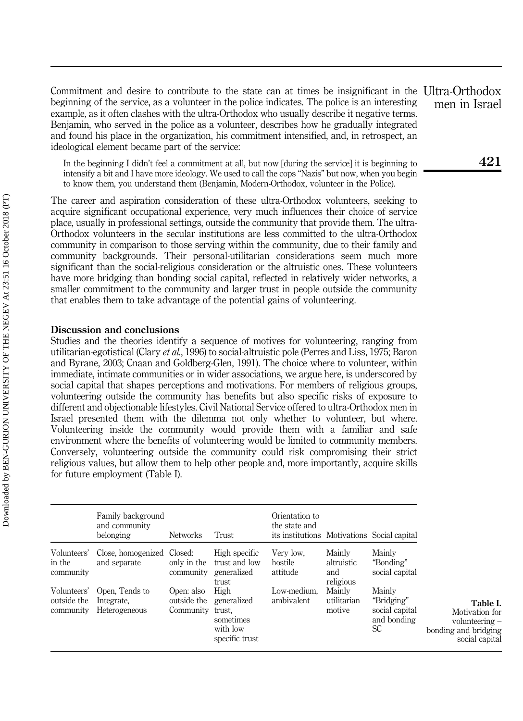Commitment and desire to contribute to the state can at times be insignificant in the Ultra-Orthodox beginning of the service, as a volunteer in the police indicates. The police is an interesting example, as it often clashes with the ultra-Orthodox who usually describe it negative terms. Benjamin, who served in the police as a volunteer, describes how he gradually integrated and found his place in the organization, his commitment intensified, and, in retrospect, an ideological element became part of the service:

In the beginning I didn't feel a commitment at all, but now [during the service] it is beginning to intensify a bit and I have more ideology. We used to call the cops "Nazis" but now, when you begin to know them, you understand them (Benjamin, Modern-Orthodox, volunteer in the Police).

The career and aspiration consideration of these ultra-Orthodox volunteers, seeking to acquire significant occupational experience, very much influences their choice of service place, usually in professional settings, outside the community that provide them. The ultra-Orthodox volunteers in the secular institutions are less committed to the ultra-Orthodox community in comparison to those serving within the community, due to their family and community backgrounds. Their personal-utilitarian considerations seem much more significant than the social-religious consideration or the altruistic ones. These volunteers have more bridging than bonding social capital, reflected in relatively wider networks, a smaller commitment to the community and larger trust in people outside the community that enables them to take advantage of the potential gains of volunteering.

## Discussion and conclusions

Studies and the theories identify a sequence of motives for volunteering, ranging from utilitarian-egotistical (Clary et al., 1996) to social-altruistic pole (Perres and Liss, 1975; Baron and Byrane, 2003; Cnaan and Goldberg-Glen, 1991). The choice where to volunteer, within immediate, intimate communities or in wider associations, we argue here, is underscored by social capital that shapes perceptions and motivations. For members of religious groups, volunteering outside the community has benefits but also specific risks of exposure to different and objectionable lifestyles. Civil National Service offered to ultra-Orthodox men in Israel presented them with the dilemma not only whether to volunteer, but where. Volunteering inside the community would provide them with a familiar and safe environment where the benefits of volunteering would be limited to community members. Conversely, volunteering outside the community could risk compromising their strict religious values, but allow them to help other people and, more importantly, acquire skills for future employment (Table I).

|                                         | Family background<br>and community<br>belonging | <b>Networks</b>                | Trust                                                                        | Orientation to<br>the state and<br>its institutions Motivations Social capital |                                          |                                                              |                                                                                        |
|-----------------------------------------|-------------------------------------------------|--------------------------------|------------------------------------------------------------------------------|--------------------------------------------------------------------------------|------------------------------------------|--------------------------------------------------------------|----------------------------------------------------------------------------------------|
| Volunteers'<br>in the<br>community      | Close, homogenized Closed:<br>and separate      |                                | High specific<br>only in the trust and low<br>community generalized<br>trust | Very low.<br>hostile<br>attitude                                               | Mainly<br>altruistic<br>and<br>religious | Mainly<br>"Bonding"<br>social capital                        |                                                                                        |
| Volunteers'<br>outside the<br>community | Open, Tends to<br>Integrate.<br>Heterogeneous   | Open: also<br>Community trust. | High<br>outside the generalized<br>sometimes<br>with low<br>specific trust   | Low-medium.<br>ambivalent                                                      | Mainly<br>utilitarian<br>motive          | Mainly<br>"Bridging"<br>social capital<br>and bonding<br>SC. | Table I.<br>Motivation for<br>volunteering –<br>bonding and bridging<br>social capital |

men in Israel

421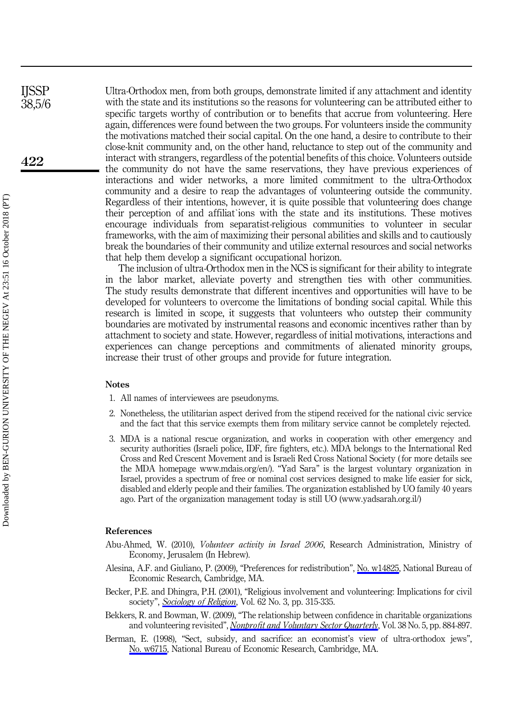Ultra-Orthodox men, from both groups, demonstrate limited if any attachment and identity with the state and its institutions so the reasons for volunteering can be attributed either to specific targets worthy of contribution or to benefits that accrue from volunteering. Here again, differences were found between the two groups. For volunteers inside the community the motivations matched their social capital. On the one hand, a desire to contribute to their close-knit community and, on the other hand, reluctance to step out of the community and interact with strangers, regardless of the potential benefits of this choice. Volunteers outside the community do not have the same reservations, they have previous experiences of interactions and wider networks, a more limited commitment to the ultra-Orthodox community and a desire to reap the advantages of volunteering outside the community. Regardless of their intentions, however, it is quite possible that volunteering does change their perception of and affiliat`ions with the state and its institutions. These motives encourage individuals from separatist-religious communities to volunteer in secular frameworks, with the aim of maximizing their personal abilities and skills and to cautiously break the boundaries of their community and utilize external resources and social networks that help them develop a significant occupational horizon.

The inclusion of ultra-Orthodox men in the NCS is significant for their ability to integrate in the labor market, alleviate poverty and strengthen ties with other communities. The study results demonstrate that different incentives and opportunities will have to be developed for volunteers to overcome the limitations of bonding social capital. While this research is limited in scope, it suggests that volunteers who outstep their community boundaries are motivated by instrumental reasons and economic incentives rather than by attachment to society and state. However, regardless of initial motivations, interactions and experiences can change perceptions and commitments of alienated minority groups, increase their trust of other groups and provide for future integration.

## Notes

- 1. All names of interviewees are pseudonyms.
- 2. Nonetheless, the utilitarian aspect derived from the stipend received for the national civic service and the fact that this service exempts them from military service cannot be completely rejected.
- 3. MDA is a national rescue organization, and works in cooperation with other emergency and security authorities (Israeli police, IDF, fire fighters, etc.). MDA belongs to the International Red Cross and Red Crescent Movement and is Israeli Red Cross National Society ( for more details see the MDA homepage [www.mdais.org/en/\)](www.mdais.org/en/). "Yad Sara" is the largest voluntary organization in Israel, provides a spectrum of free or nominal cost services designed to make life easier for sick, disabled and elderly people and their families. The organization established by UO family 40 years ago. Part of the organization management today is still UO [\(www.yadsarah.org.il/](www.yadsarah.org.il/))

#### References

- Abu-Ahmed, W. (2010), Volunteer activity in Israel 2006, Research Administration, Ministry of Economy, Jerusalem (In Hebrew).
- Alesina, A.F. and Giuliano, P. (2009), "Preferences for redistribution", [No. w14825](https://www.emeraldinsight.com/action/showLinks?doi=10.1108%2FIJSSP-06-2017-0086&crossref=10.3386%2Fw14825&citationId=p_2), National Bureau of Economic Research, Cambridge, MA.
- Becker, P.E. and Dhingra, P.H. (2001), "Religious involvement and volunteering: Implications for civil society", [Sociology of Religion](https://www.emeraldinsight.com/action/showLinks?doi=10.1108%2FIJSSP-06-2017-0086&crossref=10.2307%2F3712353&isi=000171221100003&citationId=p_3), Vol. 62 No. 3, pp. 315-335.
- Bekkers, R. and Bowman, W. (2009), "The relationship between confidence in charitable organizations and volunteering revisited", [Nonprofit and Voluntary Sector Quarterly](https://www.emeraldinsight.com/action/showLinks?doi=10.1108%2FIJSSP-06-2017-0086&crossref=10.1177%2F0899764008324516&isi=000270009500008&citationId=p_4), Vol. 38 No. 5, pp. 884-897.
- Berman, E. (1998), "Sect, subsidy, and sacrifice: an economist's view of ultra-orthodox jews", [No. w6715,](https://www.emeraldinsight.com/action/showLinks?doi=10.1108%2FIJSSP-06-2017-0086&crossref=10.3386%2Fw6715&citationId=p_5) National Bureau of Economic Research, Cambridge, MA.

**IISSP** 38,5/6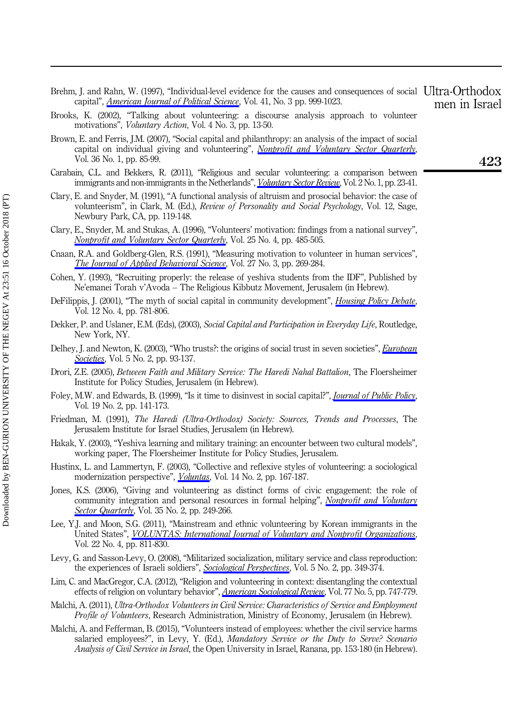- Brehm, J. and Rahn, W. (1997), "Individual-level evidence for the causes and consequences of social Ultra-Orthodox capital", [American Journal of Political Science](https://www.emeraldinsight.com/action/showLinks?doi=10.1108%2FIJSSP-06-2017-0086&crossref=10.2307%2F2111684&isi=A1997XE52200013&citationId=p_6), Vol. 41, No. 3 pp. 999-1023. men in Israel
- Brooks, K. (2002), "Talking about volunteering: a discourse analysis approach to volunteer motivations", Voluntary Action, Vol. 4 No. 3, pp. 13-50.
- Brown, E. and Ferris, J.M. (2007), "Social capital and philanthropy: an analysis of the impact of social capital on individual giving and volunteering", [Nonprofit and Voluntary Sector Quarterly](https://www.emeraldinsight.com/action/showLinks?doi=10.1108%2FIJSSP-06-2017-0086&crossref=10.1177%2F0899764006293178&isi=000244456700005&citationId=p_8), Vol. 36 No. 1, pp. 85-99.
- Carabain, C.L. and Bekkers, R. (2011), "Religious and secular volunteering: a comparison between immigrants and non-immigrants in the Netherlands", *[Voluntary Sector Review](https://www.emeraldinsight.com/action/showLinks?doi=10.1108%2FIJSSP-06-2017-0086&crossref=10.1332%2F204080511X560602&citationId=p_9)*, Vol. 2 No. 1, pp. 23-41.
- Clary, E. and Snyder, M. (1991), "A functional analysis of altruism and prosocial behavior: the case of volunteerism", in Clark, M. (Ed.), Review of Personality and Social Psychology, Vol. 12, Sage, Newbury Park, CA, pp. 119-148.
- Clary, E., Snyder, M. and Stukas, A. (1996), "Volunteers' motivation: findings from a national survey", [Nonprofit and Voluntary Sector Quarterly](https://www.emeraldinsight.com/action/showLinks?doi=10.1108%2FIJSSP-06-2017-0086&crossref=10.1177%2F0899764096254006&isi=A1996WY87100006&citationId=p_11), Vol. 25 No. 4, pp. 485-505.
- Cnaan, R.A. and Goldberg-Glen, R.S. (1991), "Measuring motivation to volunteer in human services", [The Journal of Applied Behavioral Science](https://www.emeraldinsight.com/action/showLinks?doi=10.1108%2FIJSSP-06-2017-0086&crossref=10.1177%2F0021886391273003&citationId=p_12), Vol. 27 No. 3, pp. 269-284.
- Cohen, Y. (1993), "Recruiting properly: the release of yeshiva students from the IDF", Published by Ne'emanei Torah v'Avoda – The Religious Kibbutz Movement, Jerusalem (in Hebrew).
- DeFilippis, J. (2001), "The myth of social capital in community development", *[Housing Policy Debate](https://www.emeraldinsight.com/action/showLinks?doi=10.1108%2FIJSSP-06-2017-0086&crossref=10.1080%2F10511482.2001.9521429&isi=000173438900008&citationId=p_14)*, Vol. 12 No. 4, pp. 781-806.
- Dekker, P. and Uslaner, E.M. (Eds), (2003), Social Capital and Participation in Everyday Life, Routledge, New York, NY.
- Delhey, J. and Newton, K. (2003), "Who trusts?: the origins of social trust in seven societies", *[European](https://www.emeraldinsight.com/action/showLinks?doi=10.1108%2FIJSSP-06-2017-0086&crossref=10.1080%2F1461669032000072256&isi=000186372400001&citationId=p_16)* [Societies](https://www.emeraldinsight.com/action/showLinks?doi=10.1108%2FIJSSP-06-2017-0086&crossref=10.1080%2F1461669032000072256&isi=000186372400001&citationId=p_16), Vol. 5 No. 2, pp. 93-137.
- Drori, Z.E. (2005), Between Faith and Military Service: The Haredi Nahal Battalion, The Floersheimer Institute for Policy Studies, Jerusalem (in Hebrew).
- Foley, M.W. and Edwards, B. (1999), "Is it time to disinvest in social capital?", [Journal of Public Policy](https://www.emeraldinsight.com/action/showLinks?doi=10.1108%2FIJSSP-06-2017-0086&crossref=10.1017%2FS0143814X99000215&citationId=p_18), Vol. 19 No. 2, pp. 141-173.
- Friedman, M. (1991), The Haredi (Ultra-Orthodox) Society: Sources, Trends and Processes, The Jerusalem Institute for Israel Studies, Jerusalem (in Hebrew).
- Hakak, Y. (2003), "Yeshiva learning and military training: an encounter between two cultural models", working paper, The Floersheimer Institute for Policy Studies, Jerusalem.
- Hustinx, L. and Lammertyn, F. (2003), "Collective and reflexive styles of volunteering: a sociological modernization perspective", *[Voluntas](https://www.emeraldinsight.com/action/showLinks?doi=10.1108%2FIJSSP-06-2017-0086&crossref=10.1023%2FA%3A1023948027200&citationId=p_21)*, Vol. 14 No. 2, pp. 167-187.
- Jones, K.S. (2006), "Giving and volunteering as distinct forms of civic engagement: the role of community integration and personal resources in formal helping", [Nonprofit and Voluntary](https://www.emeraldinsight.com/action/showLinks?doi=10.1108%2FIJSSP-06-2017-0086&crossref=10.1177%2F0899764006287464&isi=000239562900005&citationId=p_22) [Sector Quarterly](https://www.emeraldinsight.com/action/showLinks?doi=10.1108%2FIJSSP-06-2017-0086&crossref=10.1177%2F0899764006287464&isi=000239562900005&citationId=p_22), Vol. 35 No. 2, pp. 249-266.
- Lee, Y.J. and Moon, S.G. (2011), "Mainstream and ethnic volunteering by Korean immigrants in the United States", [VOLUNTAS: International Journal of Voluntary and Nonprofit Organizations](https://www.emeraldinsight.com/action/showLinks?doi=10.1108%2FIJSSP-06-2017-0086&crossref=10.1007%2Fs11266-010-9176-y&isi=000296475800013&citationId=p_23), Vol. 22 No. 4, pp. 811-830.
- Levy, G. and Sasson-Levy, O. (2008), "Militarized socialization, military service and class reproduction: the experiences of Israeli soldiers", [Sociological Perspectives](https://www.emeraldinsight.com/action/showLinks?doi=10.1108%2FIJSSP-06-2017-0086&crossref=10.1525%2Fsop.2008.51.2.349&citationId=p_24), Vol. 5 No. 2, pp. 349-374.
- Lim, C. and MacGregor, C.A. (2012), "Religion and volunteering in context: disentangling the contextual effects of religion on voluntary behavior", *[American Sociological Review](https://www.emeraldinsight.com/action/showLinks?doi=10.1108%2FIJSSP-06-2017-0086&crossref=10.1177%2F0003122412457875&isi=000309352000004&citationId=p_25)*, Vol. 77 No. 5, pp. 747-779.
- Malchi, A. (2011), Ultra-Orthodox Volunteers in Civil Service: Characteristics of Service and Employment Profile of Volunteers, Research Administration, Ministry of Economy, Jerusalem (in Hebrew).
- Malchi, A. and Fefferman, B. (2015), "Volunteers instead of employees: whether the civil service harms salaried employees?", in Levy, Y. (Ed.), Mandatory Service or the Duty to Serve? Scenario Analysis of Civil Service in Israel, the Open University in Israel, Ranana, pp. 153-180 (in Hebrew).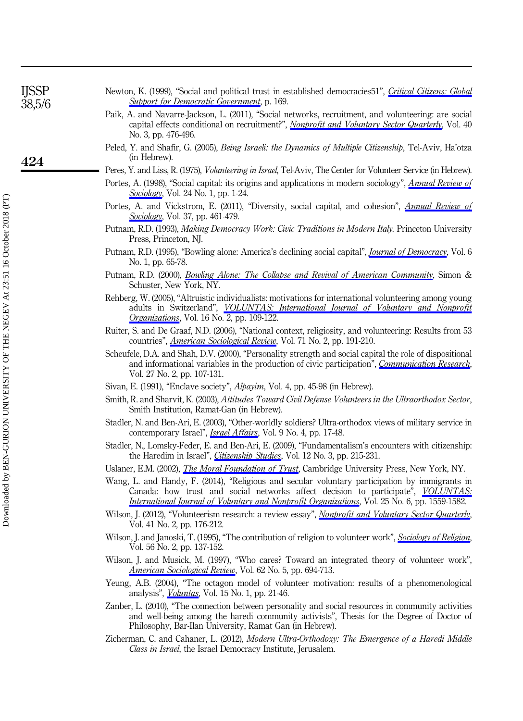| <b>IJSSP</b><br>38,5/6 | Newton, K. (1999), "Social and political trust in established democracies 51", Critical Citizens: Global<br>Support for Democratic Government, p. 169.                                                                                                                                  |  |  |  |  |
|------------------------|-----------------------------------------------------------------------------------------------------------------------------------------------------------------------------------------------------------------------------------------------------------------------------------------|--|--|--|--|
|                        | Paik, A. and Navarre-Jackson, L. (2011), "Social networks, recruitment, and volunteering: are social<br>capital effects conditional on recruitment?", Nonbrofit and Voluntary Sector Quarterly, Vol. 40<br>No. 3, pp. 476-496.                                                          |  |  |  |  |
| 424                    | Peled, Y. and Shafir, G. (2005), <i>Being Israeli: the Dynamics of Multiple Citizenship</i> , Tel-Aviv, Ha'otza<br>(in Hebrew).                                                                                                                                                         |  |  |  |  |
|                        | Peres, Y. and Liss, R. (1975), <i>Volunteering in Israel</i> , Tel-Aviv, The Center for Volunteer Service (in Hebrew).<br>Portes, A. (1998), "Social capital: its origins and applications in modern sociology", <i>Annual Review of</i><br><i>Sociology</i> , Vol. 24 No. 1, pp. 1-24. |  |  |  |  |
|                        | Portes, A. and Vickstrom, E. (2011), "Diversity, social capital, and cohesion", <i>Annual Review of</i><br>Sociology, Vol. 37, pp. 461-479.                                                                                                                                             |  |  |  |  |
|                        | Putnam, R.D. (1993), Making Democracy Work: Civic Traditions in Modern Italy. Princeton University<br>Press, Princeton, NJ.                                                                                                                                                             |  |  |  |  |
|                        | Putnam, R.D. (1995), "Bowling alone: America's declining social capital", <i>Journal of Democracy</i> , Vol. 6<br>No. 1, pp. 65-78.                                                                                                                                                     |  |  |  |  |
|                        | Putnam, R.D. (2000), <i>Bowling Alone: The Collabse and Revival of American Community</i> , Simon &<br>Schuster, New York, NY.                                                                                                                                                          |  |  |  |  |
|                        | Rehberg, W. (2005), "Altruistic individualists: motivations for international volunteering among young<br>adults in Switzerland", VOLUNTAS: International Journal of Voluntary and Nonprofil<br>Organizations, Vol. 16 No. 2, pp. 109-122.                                              |  |  |  |  |
|                        | Ruiter, S. and De Graaf, N.D. (2006), "National context, religiosity, and volunteering: Results from 53<br>countries", <i>American Sociological Review</i> , Vol. 71 No. 2, pp. 191-210.                                                                                                |  |  |  |  |
|                        | Scheufele, D.A. and Shah, D.V. (2000), "Personality strength and social capital the role of dispositional<br>and informational variables in the production of civic participation", <i>Communication Research</i><br>Vol. 27 No. 2, pp. 107-131.                                        |  |  |  |  |
|                        | Sivan, E. (1991), "Enclave society", Alpayim, Vol. 4, pp. 45-98 (in Hebrew).                                                                                                                                                                                                            |  |  |  |  |
|                        | Smith, R. and Sharvit, K. (2003), Attitudes Toward Civil Defense Volunteers in the Ultraorthodox Sector<br>Smith Institution, Ramat-Gan (in Hebrew).                                                                                                                                    |  |  |  |  |
|                        | Stadler, N. and Ben-Ari, E. (2003), "Other-worldly soldiers? Ultra-orthodox views of military service in<br>contemporary Israel", <i>Israel Affairs</i> , Vol. 9 No. 4, pp. 17-48.                                                                                                      |  |  |  |  |
|                        | Stadler, N., Lomsky-Feder, E. and Ben-Ari, E. (2009), "Fundamentalism's encounters with citizenship<br>the Haredim in Israel", <i>Citizenship Studies</i> , Vol. 12 No. 3, pp. 215-231.                                                                                                 |  |  |  |  |
|                        | Uslaner, E.M. (2002), <i>The Moral Foundation of Trust</i> , Cambridge University Press, New York, NY.                                                                                                                                                                                  |  |  |  |  |
|                        | Wang, L. and Handy, F. (2014), "Religious and secular voluntary participation by immigrants in<br>Canada: how trust and social networks affect decision to participate", VOLUNTAS.<br>International Journal of Voluntary and Nonprofit Organizations, Vol. 25 No. 6, pp. 1559-1582.     |  |  |  |  |
|                        | Wilson, J. (2012), "Volunteerism research: a review essay", Nonprofit and Voluntary Sector Quarterly.<br>Vol. 41 No. 2, pp. 176-212.                                                                                                                                                    |  |  |  |  |
|                        | Wilson, J. and Janoski, T. (1995), "The contribution of religion to volunteer work", Sociology of Religion<br>Vol. 56 No. 2, pp. 137-152.                                                                                                                                               |  |  |  |  |
|                        | Wilson, J. and Musick, M. (1997), "Who cares? Toward an integrated theory of volunteer work",<br><i>American Sociological Review</i> , Vol. 62 No. 5, pp. 694-713.                                                                                                                      |  |  |  |  |
|                        | Yeung, A.B. (2004), "The octagon model of volunteer motivation: results of a phenomenological<br>analysis", <i>Voluntas</i> , Vol. 15 No. 1, pp. 21-46.                                                                                                                                 |  |  |  |  |
|                        | Zanber, L. (2010), "The connection between personality and social resources in community activities<br>and well-being among the haredi community activists", Thesis for the Degree of Doctor of<br>Philosophy, Bar-Ilan University, Ramat Gan (in Hebrew).                              |  |  |  |  |
|                        | Zicherman, C. and Cahaner, L. (2012), Modern Ultra-Orthodoxy: The Emergence of a Haredi Middle<br>Class in Israel, the Israel Democracy Institute, Jerusalem.                                                                                                                           |  |  |  |  |
|                        |                                                                                                                                                                                                                                                                                         |  |  |  |  |

Downloaded by BEN-GURION UNIVERSITY OF THE NEGEV At 23:51 16 October 2018 (PT) Downloaded by BEN-GURION UNIVERSITY OF THE NEGEV At 23:51 16 October 2018 (PT)